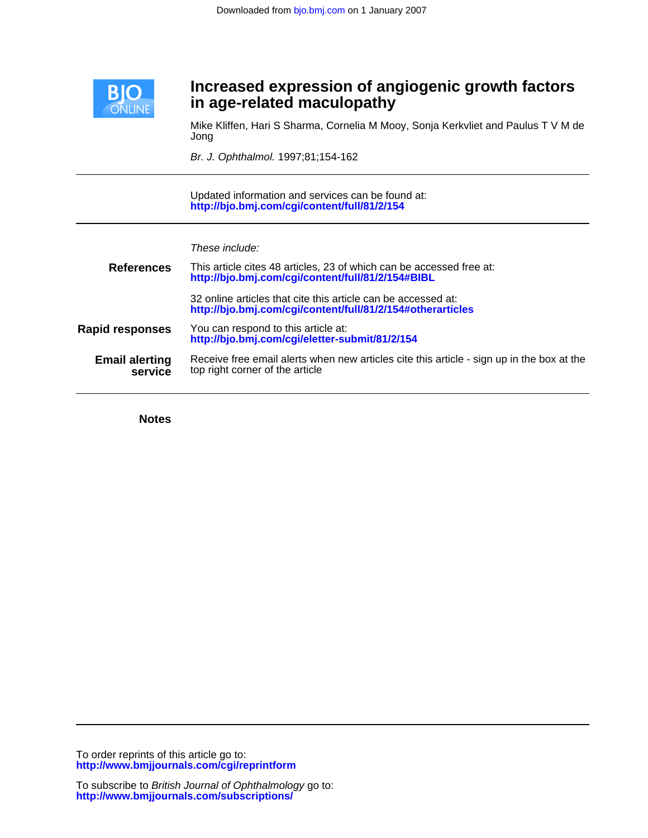

## **in age-related maculopathy Increased expression of angiogenic growth factors**

Jong Mike Kliffen, Hari S Sharma, Cornelia M Mooy, Sonja Kerkvliet and Paulus T V M de

Br. J. Ophthalmol. 1997;81;154-162

**<http://bjo.bmj.com/cgi/content/full/81/2/154>** Updated information and services can be found at:

These include:

| <b>References</b>                | This article cites 48 articles, 23 of which can be accessed free at:<br>http://bjo.bmj.com/cgi/content/full/81/2/154#BIBL    |  |  |  |
|----------------------------------|------------------------------------------------------------------------------------------------------------------------------|--|--|--|
|                                  | 32 online articles that cite this article can be accessed at:<br>http://bjo.bmj.com/cgi/content/full/81/2/154#otherarticles  |  |  |  |
| <b>Rapid responses</b>           | You can respond to this article at:<br>http://bjo.bmj.com/cgi/eletter-submit/81/2/154                                        |  |  |  |
| <b>Email alerting</b><br>service | Receive free email alerts when new articles cite this article - sign up in the box at the<br>top right corner of the article |  |  |  |

**Notes**

**<http://www.bmjjournals.com/cgi/reprintform>** To order reprints of this article go to: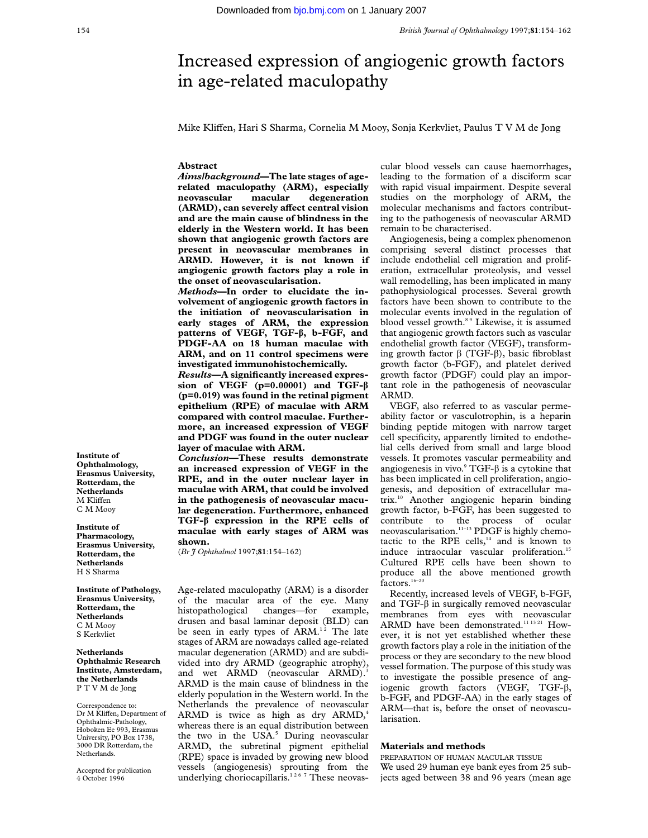# Increased expression of angiogenic growth factors in age-related maculopathy

Mike Kliffen, Hari S Sharma, Cornelia M Mooy, Sonja Kerkvliet, Paulus T V M de Jong

#### **Abstract**

*Aims/background***—The late stages of agerelated maculopathy (ARM), especially neovascular macular degeneration**  $(ARMD)$ , can severely affect central vision **and are the main cause of blindness in the elderly in the Western world. It has been shown that angiogenic growth factors are present in neovascular membranes in ARMD. However, it is not known if angiogenic growth factors play a role in the onset of neovascularisation.**

*Methods***—In order to elucidate the involvement of angiogenic growth factors in the initiation of neovascularisation in early stages of ARM, the expression patterns of VEGF, TGF-â, b-FGF, and PDGF-AA on 18 human maculae with ARM, and on 11 control specimens were investigated immunohistochemically.**

*Results***—A significantly increased expression of VEGF (p=0.00001) and TGF-â (p=0.019) was found in the retinal pigment epithelium (RPE) of maculae with ARM compared with control maculae. Furthermore, an increased expression of VEGF and PDGF was found in the outer nuclear layer of maculae with ARM.**

*Conclusion***—These results demonstrate an increased expression of VEGF in the RPE, and in the outer nuclear layer in maculae with ARM, that could be involved in the pathogenesis of neovascular macular degeneration. Furthermore, enhanced TGF-â expression in the RPE cells of maculae with early stages of ARM was shown.**

(*Br J Ophthalmol* 1997;**81**:154–162)

Age-related maculopathy (ARM) is a disorder of the macular area of the eye. Many histopathological changes—for example, drusen and basal laminar deposit (BLD) can be seen in early types of ARM.<sup>12</sup> The late stages of ARM are nowadays called age-related macular degeneration (ARMD) and are subdivided into dry ARMD (geographic atrophy), and wet ARMD (neovascular ARMD).<sup>3</sup> ARMD is the main cause of blindness in the elderly population in the Western world. In the Netherlands the prevalence of neovascular ARMD is twice as high as dry ARMD,<sup>4</sup> whereas there is an equal distribution between the two in the USA.<sup>5</sup> During neovascular ARMD, the subretinal pigment epithelial (RPE) space is invaded by growing new blood vessels (angiogenesis) sprouting from the underlying choriocapillaris.<sup>1267</sup> These neovascular blood vessels can cause haemorrhages, leading to the formation of a disciform scar with rapid visual impairment. Despite several studies on the morphology of ARM, the molecular mechanisms and factors contributing to the pathogenesis of neovascular ARMD remain to be characterised.

Angiogenesis, being a complex phenomenon comprising several distinct processes that include endothelial cell migration and proliferation, extracellular proteolysis, and vessel wall remodelling, has been implicated in many pathophysiological processes. Several growth factors have been shown to contribute to the molecular events involved in the regulation of blood vessel growth.<sup>89</sup> Likewise, it is assumed that angiogenic growth factors such as vascular endothelial growth factor (VEGF), transforming growth factor  $\beta$  (TGF- $\beta$ ), basic fibroblast growth factor (b-FGF), and platelet derived growth factor (PDGF) could play an important role in the pathogenesis of neovascular ARMD.

VEGF, also referred to as vascular permeability factor or vasculotrophin, is a heparin binding peptide mitogen with narrow target cell specificity, apparently limited to endothelial cells derived from small and large blood vessels. It promotes vascular permeability and angiogenesis in vivo. $\degree$  TGF- $\beta$  is a cytokine that has been implicated in cell proliferation, angiogenesis, and deposition of extracellular matrix.10 Another angiogenic heparin binding growth factor, b-FGF, has been suggested to contribute to the process of ocular neovascularisation.<sup>11-13</sup> PDGF is highly chemotactic to the RPE cells, $14$  and is known to induce intraocular vascular proliferation.<sup>15</sup> Cultured RPE cells have been shown to produce all the above mentioned growth factors.<sup>16–20</sup>

Recently, increased levels of VEGF, b-FGF, and TGF-â in surgically removed neovascular membranes from eyes with neovascular ARMD have been demonstrated.<sup>11 13 21</sup> However, it is not yet established whether these growth factors play a role in the initiation of the process or they are secondary to the new blood vessel formation. The purpose of this study was to investigate the possible presence of angiogenic growth factors (VEGF, TGF- $\beta$ , b-FGF, and PDGF-AA) in the early stages of ARM—that is, before the onset of neovascularisation.

## **Materials and methods**

PREPARATION OF HUMAN MACULAR TISSUE We used 29 human eye bank eyes from 25 subjects aged between 38 and 96 years (mean age

**Institute of Ophthalmology, Erasmus University, Rotterdam, the Netherlands**  $\mathbf M$ Kliffen C M Mooy

**Institute of Pharmacology, Erasmus University, Rotterdam, the Netherlands** H S Sharma

**Institute of Pathology, Erasmus University, Rotterdam, the Netherlands** C M Mooy S Kerkvliet

**Netherlands Ophthalmic Research Institute, Amsterdam, the Netherlands** P T V M de Jong

Correspondence to: Dr M Kliffen, Department of Ophthalmic-Pathology, Hoboken Ee 993, Erasmus University, PO Box 1738, 3000 DR Rotterdam, the Netherlands.

Accepted for publication 4 October 1996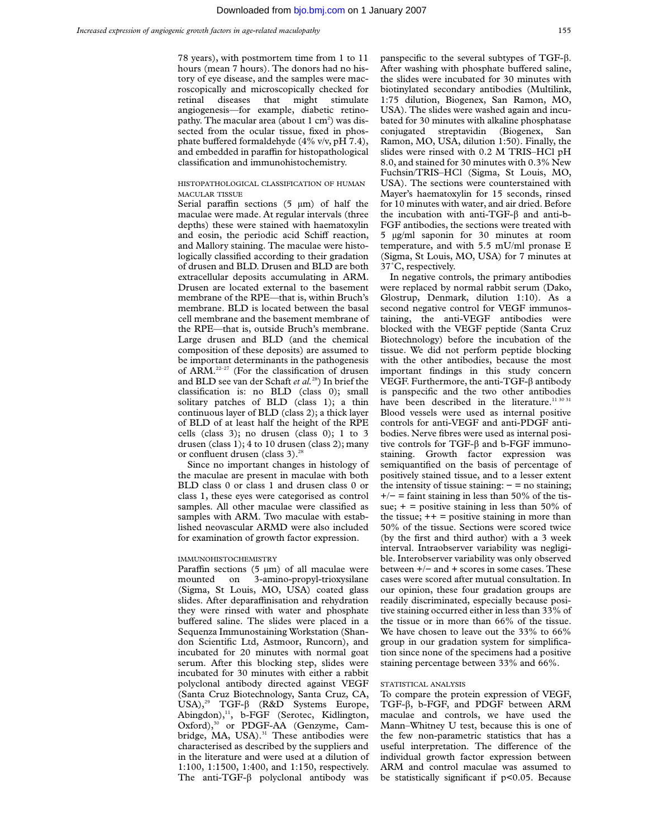78 years), with postmortem time from 1 to 11 hours (mean 7 hours). The donors had no history of eye disease, and the samples were macroscopically and microscopically checked for retinal diseases that might stimulate angiogenesis—for example, diabetic retinopathy. The macular area (about  $1 \text{ cm}^2$ ) was dissected from the ocular tissue, fixed in phosphate buffered formaldehyde (4% v/v, pH 7.4), and embedded in paraffin for histopathological classification and immunohistochemistry.

## HISTOPATHOLOGICAL CLASSIFICATION OF HUMAN MACULAR TISSUE

Serial paraffin sections  $(5 \mu m)$  of half the maculae were made. At regular intervals (three depths) these were stained with haematoxylin and eosin, the periodic acid Schiff reaction, and Mallory staining. The maculae were histologically classified according to their gradation of drusen and BLD. Drusen and BLD are both extracellular deposits accumulating in ARM. Drusen are located external to the basement membrane of the RPE—that is, within Bruch's membrane. BLD is located between the basal cell membrane and the basement membrane of the RPE—that is, outside Bruch's membrane. Large drusen and BLD (and the chemical composition of these deposits) are assumed to be important determinants in the pathogenesis of ARM.<sup>22-27</sup> (For the classification of drusen and BLD see van der Schaft *et al.*28) In brief the classification is: no BLD (class 0); small solitary patches of BLD (class 1); a thin continuous layer of BLD (class 2); a thick layer of BLD of at least half the height of the RPE cells (class 3); no drusen (class 0); 1 to 3 drusen (class 1); 4 to 10 drusen (class 2); many or confluent drusen (class 3).<sup>28</sup>

Since no important changes in histology of the maculae are present in maculae with both BLD class 0 or class 1 and drusen class 0 or class 1, these eyes were categorised as control samples. All other maculae were classified as samples with ARM. Two maculae with established neovascular ARMD were also included for examination of growth factor expression.

## IMMUNOHISTOCHEMISTRY

Paraffin sections  $(5 \mu m)$  of all maculae were mounted on 3-amino-propyl-trioxysilane (Sigma, St Louis, MO, USA) coated glass slides. After deparaffinisation and rehydration they were rinsed with water and phosphate buffered saline. The slides were placed in a Sequenza Immunostaining Workstation (Shandon Scientific Ltd, Astmoor, Runcorn), and incubated for 20 minutes with normal goat serum. After this blocking step, slides were incubated for 30 minutes with either a rabbit polyclonal antibody directed against VEGF (Santa Cruz Biotechnology, Santa Cruz, CA, USA),<sup>29</sup> TGF-β (R&D Systems Europe, Abingdon),<sup>11</sup>, b-FGF (Serotec, Kidlington, Oxford),<sup>30</sup> or PDGF-AA (Genzyme, Cambridge, MA, USA).<sup>31</sup> These antibodies were characterised as described by the suppliers and in the literature and were used at a dilution of 1:100, 1:1500, 1:400, and 1:150, respectively. The anti-TGF- $\beta$  polyclonal antibody was

panspecific to the several subtypes of TGF-â. After washing with phosphate buffered saline, the slides were incubated for 30 minutes with biotinylated secondary antibodies (Multilink, 1:75 dilution, Biogenex, San Ramon, MO, USA). The slides were washed again and incubated for 30 minutes with alkaline phosphatase conjugated streptavidin (Biogenex, San Ramon, MO, USA, dilution 1:50). Finally, the slides were rinsed with 0.2 M TRIS–HCl pH 8.0, and stained for 30 minutes with 0.3% New Fuchsin/TRIS–HCl (Sigma, St Louis, MO, USA). The sections were counterstained with Mayer's haematoxylin for 15 seconds, rinsed for 10 minutes with water, and air dried. Before the incubation with anti-TGF-â and anti-b-FGF antibodies, the sections were treated with 5 µg/ml saponin for 30 minutes at room temperature, and with 5.5 mU/ml pronase E (Sigma, St Louis, MO, USA) for 7 minutes at 37˚C, respectively.

In negative controls, the primary antibodies were replaced by normal rabbit serum (Dako, Glostrup, Denmark, dilution 1:10). As a second negative control for VEGF immunostaining, the anti-VEGF antibodies were blocked with the VEGF peptide (Santa Cruz Biotechnology) before the incubation of the tissue. We did not perform peptide blocking with the other antibodies, because the most important findings in this study concern VEGF. Furthermore, the anti-TGF-â antibody is panspecific and the two other antibodies have been described in the literature.<sup>11 30 31</sup> Blood vessels were used as internal positive controls for anti-VEGF and anti-PDGF antibodies. Nerve fibres were used as internal positive controls for TGF-â and b-FGF immunostaining. Growth factor expression was semiquantified on the basis of percentage of positively stained tissue, and to a lesser extent the intensity of tissue staining:  $-$  = no staining;  $+/-$  = faint staining in less than 50% of the tissue;  $+$  = positive staining in less than 50% of the tissue;  $++ =$  positive staining in more than 50% of the tissue. Sections were scored twice (by the first and third author) with a 3 week interval. Intraobserver variability was negligible. Interobserver variability was only observed between +/− and + scores in some cases. These cases were scored after mutual consultation. In our opinion, these four gradation groups are readily discriminated, especially because positive staining occurred either in less than 33% of the tissue or in more than 66% of the tissue. We have chosen to leave out the 33% to 66% group in our gradation system for simplification since none of the specimens had a positive staining percentage between 33% and 66%.

#### STATISTICAL ANALYSIS

To compare the protein expression of VEGF, TGF- $\beta$ , b-FGF, and PDGF between ARM maculae and controls, we have used the Mann–Whitney U test, because this is one of the few non-parametric statistics that has a useful interpretation. The difference of the individual growth factor expression between ARM and control maculae was assumed to be statistically significant if p<0.05. Because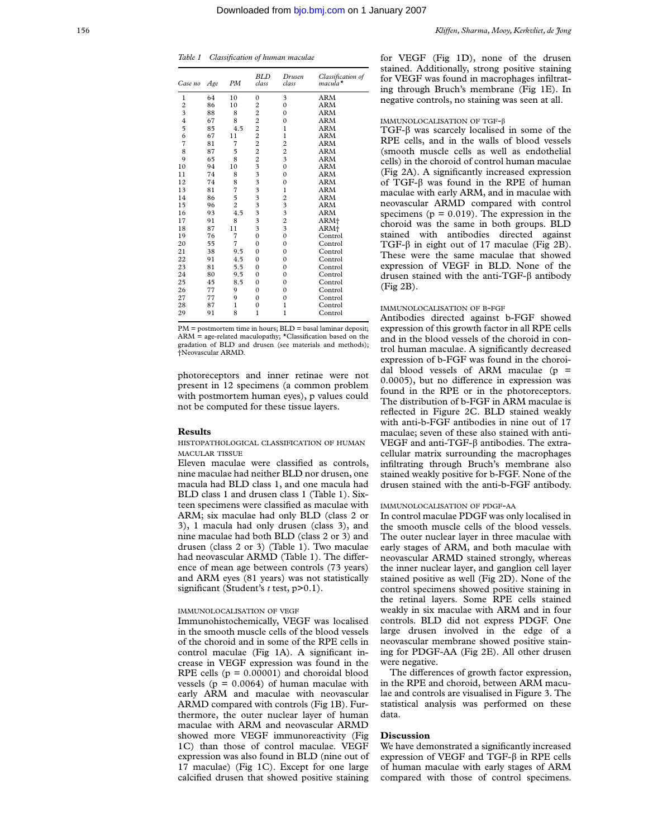| Case no                 | Age | PМ             | <b>BLD</b><br>class                        | Drusen<br>class         | Classification of<br>$macula*$ |
|-------------------------|-----|----------------|--------------------------------------------|-------------------------|--------------------------------|
| $\mathbf{1}$            | 64  | 10             | $\mathbf{0}$                               | 3                       | <b>ARM</b>                     |
| $\overline{\mathbf{c}}$ | 86  | 10             | $\overline{c}$                             | $\mathbf{0}$            | <b>ARM</b>                     |
| 3                       | 88  | 8              | $\overline{c}$                             | $\mathbf{0}$            | <b>ARM</b>                     |
| $\overline{4}$          | 67  | 8              | $\overline{c}$                             | $\mathbf{0}$            | <b>ARM</b>                     |
| 5                       | 85  | 4.5            |                                            | $\mathbf{1}$            | <b>ARM</b>                     |
| 6                       | 67  | 11             | $\begin{array}{c} 2 \\ 2 \\ 2 \end{array}$ | 1                       | <b>ARM</b>                     |
| $\overline{7}$          | 81  | $\overline{7}$ |                                            | $\overline{c}$          | <b>ARM</b>                     |
| 8                       | 87  | 5              | $\frac{2}{2}$                              | $\overline{\mathbf{c}}$ | <b>ARM</b>                     |
| 9                       | 65  | 8              |                                            | $\overline{\mathbf{3}}$ | <b>ARM</b>                     |
| 10                      | 94  | 10             | $\overline{\mathbf{3}}$                    | $\mathbf{0}$            | <b>ARM</b>                     |
| 11                      | 74  | 8              | $\frac{3}{3}$                              | $\mathbf{0}$            | <b>ARM</b>                     |
| 12                      | 74  | 8              |                                            | $\mathbf{0}$            | <b>ARM</b>                     |
| 13                      | 81  | $\overline{7}$ | $\frac{3}{3}$                              | $\mathbf{1}$            | ARM                            |
| 14                      | 86  | 5              |                                            | $\overline{c}$          | <b>ARM</b>                     |
| 15                      | 96  | $\overline{c}$ | $\frac{3}{3}$                              | $\frac{3}{3}$           | <b>ARM</b>                     |
| 16                      | 93  | 4.5            |                                            |                         | ARM                            |
| 17                      | 91  | 8              | 3                                          | $\overline{c}$          | ARM+                           |
| 18                      | 87  | 11             | 3                                          | $\overline{\mathbf{3}}$ | ARM+                           |
| 19                      | 76  | 7              | $\mathbf{0}$                               | $\mathbf{0}$            | Control                        |
| 20                      | 55  | 7              | $\Omega$                                   | $\mathbf{0}$            | Control                        |
| 21                      | 38  | 9.5            | $\theta$                                   | $\theta$                | Control                        |
| 22                      | 91  | 4.5            | $\theta$                                   | $\mathbf{0}$            | Control                        |
| 23                      | 81  | 5.5            | $\mathbf{0}$                               | $\mathbf{0}$            | Control                        |
| 24                      | 80  | 9.5            | $\theta$                                   | $\mathbf{0}$            | Control                        |
| 25                      | 45  | 8.5            | $\theta$                                   | $\mathbf{0}$            | Control                        |
| 26                      | 77  | 9              | $\theta$                                   | $\Omega$                | Control                        |
| 27                      | 77  | 9              | $\theta$                                   | $\mathbf{0}$            | Control                        |
| 28                      | 87  | $\mathbf{1}$   | $\mathbf{0}$                               | $\mathbf{1}$            | Control                        |
| 29                      | 91  | 8              | 1                                          | $\mathbf{1}$            | Control                        |

PM = postmortem time in hours; BLD = basal laminar deposit; ARM = age-related maculopathy; \*Classification based on the gradation of BLD and drusen (see materials and methods); †Neovascular ARMD.

photoreceptors and inner retinae were not present in 12 specimens (a common problem with postmortem human eyes), p values could not be computed for these tissue layers.

#### **Results**

HISTOPATHOLOGICAL CLASSIFICATION OF HUMAN MACULAR TISSUE

Eleven maculae were classified as controls, nine maculae had neither BLD nor drusen, one macula had BLD class 1, and one macula had BLD class 1 and drusen class 1 (Table 1). Sixteen specimens were classified as maculae with ARM; six maculae had only BLD (class 2 or 3), 1 macula had only drusen (class 3), and nine maculae had both BLD (class 2 or 3) and drusen (class 2 or 3) (Table 1). Two maculae had neovascular ARMD (Table 1). The difference of mean age between controls (73 years) and ARM eyes (81 years) was not statistically significant (Student's *t* test, p>0.1).

#### IMMUNOLOCALISATION OF VEGF

Immunohistochemically, VEGF was localised in the smooth muscle cells of the blood vessels of the choroid and in some of the RPE cells in control maculae (Fig 1A). A significant increase in VEGF expression was found in the RPE cells  $(p = 0.00001)$  and choroidal blood vessels ( $p = 0.0064$ ) of human maculae with early ARM and maculae with neovascular ARMD compared with controls (Fig 1B). Furthermore, the outer nuclear layer of human maculae with ARM and neovascular ARMD showed more VEGF immunoreactivity (Fig 1C) than those of control maculae. VEGF expression was also found in BLD (nine out of 17 maculae) (Fig 1C). Except for one large calcified drusen that showed positive staining

for VEGF (Fig 1D), none of the drusen stained. Additionally, strong positive staining for VEGF was found in macrophages infiltrating through Bruch's membrane (Fig 1E). In negative controls, no staining was seen at all.

## IMMUNOLOCALISATION OF TGF-â

 $TGF-\beta$  was scarcely localised in some of the RPE cells, and in the walls of blood vessels (smooth muscle cells as well as endothelial cells) in the choroid of control human maculae (Fig 2A). A significantly increased expression of TGF- $\beta$  was found in the RPE of human maculae with early ARM, and in maculae with neovascular ARMD compared with control specimens ( $p = 0.019$ ). The expression in the choroid was the same in both groups. BLD stained with antibodies directed against TGF- $\beta$  in eight out of 17 maculae (Fig 2B). These were the same maculae that showed expression of VEGF in BLD. None of the drusen stained with the anti-TGF-â antibody (Fig 2B).

#### IMMUNOLOCALISATION OF B-FGF

Antibodies directed against b-FGF showed expression of this growth factor in all RPE cells and in the blood vessels of the choroid in control human maculae. A significantly decreased expression of b-FGF was found in the choroidal blood vessels of ARM maculae ( $p =$ 0.0005), but no difference in expression was found in the RPE or in the photoreceptors. The distribution of b-FGF in ARM maculae is reflected in Figure 2C. BLD stained weakly with anti-b-FGF antibodies in nine out of 17 maculae; seven of these also stained with anti-VEGF and anti-TGF-â antibodies. The extracellular matrix surrounding the macrophages infiltrating through Bruch's membrane also stained weakly positive for b-FGF. None of the drusen stained with the anti-b-FGF antibody.

## IMMUNOLOCALISATION OF PDGF-AA

In control maculae PDGF was only localised in the smooth muscle cells of the blood vessels. The outer nuclear layer in three maculae with early stages of ARM, and both maculae with neovascular ARMD stained strongly, whereas the inner nuclear layer, and ganglion cell layer stained positive as well (Fig 2D). None of the control specimens showed positive staining in the retinal layers. Some RPE cells stained weakly in six maculae with ARM and in four controls. BLD did not express PDGF. One large drusen involved in the edge of a neovascular membrane showed positive staining for PDGF-AA (Fig 2E). All other drusen were negative.

The differences of growth factor expression, in the RPE and choroid, between ARM maculae and controls are visualised in Figure 3. The statistical analysis was performed on these data.

#### **Discussion**

We have demonstrated a significantly increased expression of VEGF and TGF-â in RPE cells of human maculae with early stages of ARM compared with those of control specimens.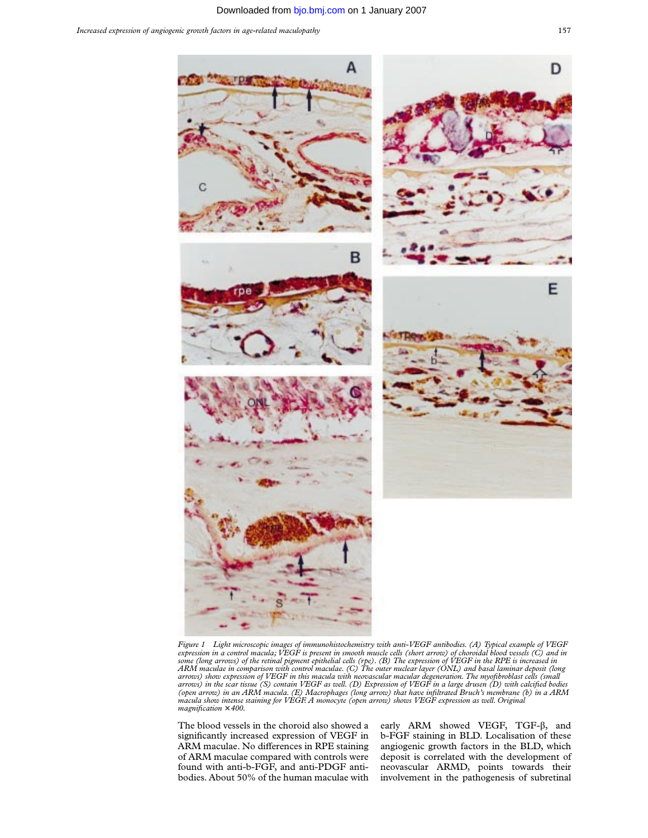

*Figure 1 Light microscopic images of immunohistochemistry with anti-VEGF antibodies. (A) Typical example of VEGF* expression in a control macula; VEGF is present in smooth muscle cells (short arrow) of choroidal blood vessels (C) and in<br>some (long arrows) of the retinal pigment epithelial cells (rpe). (B) The expression of VEGF in the *(open arrow) in an ARM macula. (E) Macrophages (long arrow) that have infiltrated Bruch's membrane (b) in a ARM macula show intense staining for VEGF. A monocyte (open arrow) shows VEGF expression as well. Original magnification* × *400.*

The blood vessels in the choroid also showed a significantly increased expression of VEGF in ARM maculae. No differences in RPE staining of ARM maculae compared with controls were found with anti-b-FGF, and anti-PDGF antibodies. About 50% of the human maculae with

early ARM showed VEGF, TGF- $\beta$ , and b-FGF staining in BLD. Localisation of these angiogenic growth factors in the BLD, which deposit is correlated with the development of neovascular ARMD, points towards their involvement in the pathogenesis of subretinal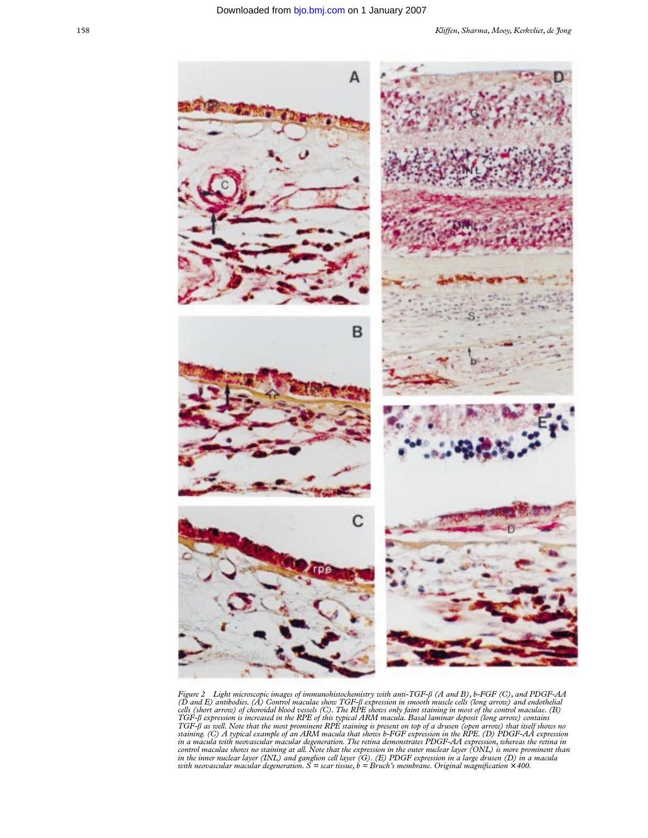

Figure 2 Light microscopic images of immunohistochemistry with anti-TGF-β (A and B), b-FGF (C), and PDGF-AA (D and E) antibodies. (A) Control maculae show TGF-β expression in smooth muscle cells (long arrow) and endotheli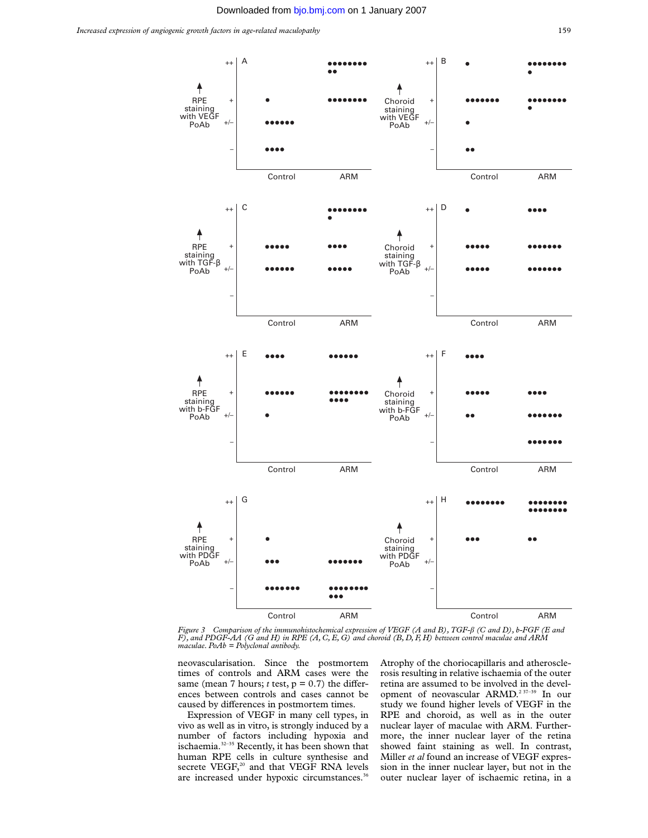

*Figure 3 Comparison of the immunohistochemical expression of VEGF (A and B), TGF-*â *(C and D), b-FGF (E and F), and PDGF-AA (G and H) in RPE (A, C, E, G) and choroid (B, D, F, H) between control maculae and ARM maculae. PoAb = Polyclonal antibody.*

neovascularisation. Since the postmortem times of controls and ARM cases were the same (mean 7 hours;  $t$  test,  $p = 0.7$ ) the differences between controls and cases cannot be caused by differences in postmortem times.

Expression of VEGF in many cell types, in vivo as well as in vitro, is strongly induced by a number of factors including hypoxia and ischaemia.<sup>32-35</sup> Recently, it has been shown that human RPE cells in culture synthesise and secrete VEGF,<sup>20</sup> and that VEGF RNA levels are increased under hypoxic circumstances.<sup>36</sup>

Atrophy of the choriocapillaris and atherosclerosis resulting in relative ischaemia of the outer retina are assumed to be involved in the development of neovascular ARMD.2 37–39 In our study we found higher levels of VEGF in the RPE and choroid, as well as in the outer nuclear layer of maculae with ARM. Furthermore, the inner nuclear layer of the retina showed faint staining as well. In contrast, Miller *et al* found an increase of VEGF expression in the inner nuclear layer, but not in the outer nuclear layer of ischaemic retina, in a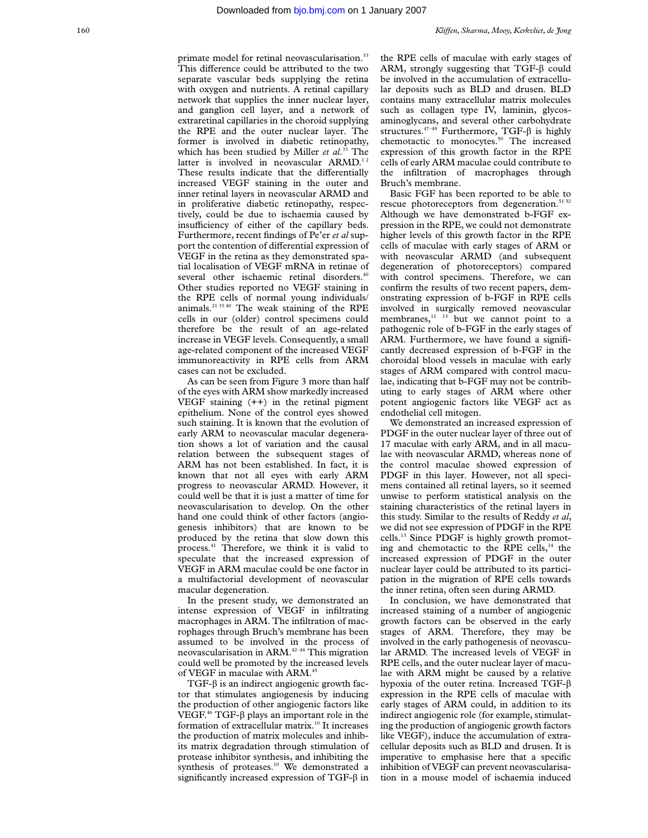#### Downloaded from [bjo.bmj.com](http://bjo.bmj.com) on 1 January 2007

primate model for retinal neovascularisation.<sup>33</sup> This difference could be attributed to the two separate vascular beds supplying the retina with oxygen and nutrients. A retinal capillary network that supplies the inner nuclear layer, and ganglion cell layer, and a network of extraretinal capillaries in the choroid supplying the RPE and the outer nuclear layer. The former is involved in diabetic retinopathy, which has been studied by Miller *et al*. <sup>33</sup> The latter is involved in neovascular ARMD.<sup>12</sup> These results indicate that the differentially increased VEGF staining in the outer and inner retinal layers in neovascular ARMD and in proliferative diabetic retinopathy, respectively, could be due to ischaemia caused by insufficiency of either of the capillary beds. Furthermore, recent findings of Pe'er *et al* support the contention of differential expression of VEGF in the retina as they demonstrated spatial localisation of VEGF mRNA in retinae of several other ischaemic retinal disorders.<sup>40</sup> Other studies reported no VEGF staining in the RPE cells of normal young individuals/ animals.21 33 40 The weak staining of the RPE cells in our (older) control specimens could therefore be the result of an age-related increase in VEGF levels. Consequently, a small age-related component of the increased VEGF immunoreactivity in RPE cells from ARM cases can not be excluded.

As can be seen from Figure 3 more than half of the eyes with ARM show markedly increased VEGF staining (++) in the retinal pigment epithelium. None of the control eyes showed such staining. It is known that the evolution of early ARM to neovascular macular degeneration shows a lot of variation and the causal relation between the subsequent stages of ARM has not been established. In fact, it is known that not all eyes with early ARM progress to neovascular ARMD. However, it could well be that it is just a matter of time for neovascularisation to develop. On the other hand one could think of other factors (angiogenesis inhibitors) that are known to be produced by the retina that slow down this process.41 Therefore, we think it is valid to speculate that the increased expression of VEGF in ARM maculae could be one factor in a multifactorial development of neovascular macular degeneration.

In the present study, we demonstrated an intense expression of VEGF in infiltrating macrophages in ARM. The infiltration of macrophages through Bruch's membrane has been assumed to be involved in the process of neovascularisation in ARM.42–44 This migration could well be promoted by the increased levels of VEGF in maculae with ARM.<sup>45</sup>

 $TGF-\beta$  is an indirect angiogenic growth factor that stimulates angiogenesis by inducing the production of other angiogenic factors like VEGF.<sup>46</sup> TGF- $\beta$  plays an important role in the formation of extracellular matrix.<sup>10</sup> It increases the production of matrix molecules and inhibits matrix degradation through stimulation of protease inhibitor synthesis, and inhibiting the synthesis of proteases.<sup>10</sup> We demonstrated a significantly increased expression of TGF- $\beta$  in

the RPE cells of maculae with early stages of ARM, strongly suggesting that  $TGF-\beta$  could be involved in the accumulation of extracellular deposits such as BLD and drusen. BLD contains many extracellular matrix molecules such as collagen type IV, laminin, glycosaminoglycans, and several other carbohydrate structures.<sup>47-49</sup> Furthermore, TGF- $\beta$  is highly chemotactic to monocytes.<sup>50</sup> The increased expression of this growth factor in the RPE cells of early ARM maculae could contribute to the infiltration of macrophages through Bruch's membrane.

Basic FGF has been reported to be able to rescue photoreceptors from degeneration. $51 52$ Although we have demonstrated b-FGF expression in the RPE, we could not demonstrate higher levels of this growth factor in the RPE cells of maculae with early stages of ARM or with neovascular ARMD (and subsequent degeneration of photoreceptors) compared with control specimens. Therefore, we can confirm the results of two recent papers, demonstrating expression of b-FGF in RPE cells involved in surgically removed neovascular membranes, $11$   $13$  but we cannot point to a pathogenic role of b-FGF in the early stages of ARM. Furthermore, we have found a significantly decreased expression of b-FGF in the choroidal blood vessels in maculae with early stages of ARM compared with control maculae, indicating that b-FGF may not be contributing to early stages of ARM where other potent angiogenic factors like VEGF act as endothelial cell mitogen.

We demonstrated an increased expression of PDGF in the outer nuclear layer of three out of 17 maculae with early ARM, and in all maculae with neovascular ARMD, whereas none of the control maculae showed expression of PDGF in this layer. However, not all specimens contained all retinal layers, so it seemed unwise to perform statistical analysis on the staining characteristics of the retinal layers in this study. Similar to the results of Reddy *et al*, we did not see expression of PDGF in the RPE cells.13 Since PDGF is highly growth promoting and chemotactic to the RPE cells, $<sup>14</sup>$  the</sup> increased expression of PDGF in the outer nuclear layer could be attributed to its participation in the migration of RPE cells towards the inner retina, often seen during ARMD.

In conclusion, we have demonstrated that increased staining of a number of angiogenic growth factors can be observed in the early stages of ARM. Therefore, they may be involved in the early pathogenesis of neovascular ARMD. The increased levels of VEGF in RPE cells, and the outer nuclear layer of maculae with ARM might be caused by a relative hypoxia of the outer retina. Increased TGF-â expression in the RPE cells of maculae with early stages of ARM could, in addition to its indirect angiogenic role (for example, stimulating the production of angiogenic growth factors like VEGF), induce the accumulation of extracellular deposits such as BLD and drusen. It is imperative to emphasise here that a specific inhibition of VEGF can prevent neovascularisation in a mouse model of ischaemia induced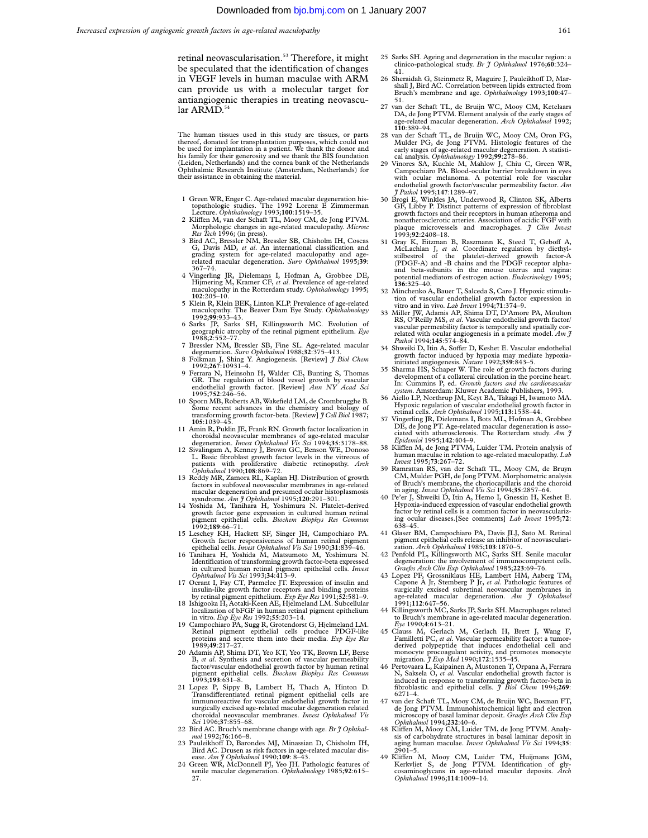retinal neovascularisation.<sup>53</sup> Therefore, it might be speculated that the identification of changes in VEGF levels in human maculae with ARM can provide us with a molecular target for antiangiogenic therapies in treating neovascular ARMD.<sup>54</sup>

The human tissues used in this study are tissues, or parts thereof, donated for transplantation purposes, which could not be used for implantation in a patient. We thank the donor and his family for their generosity and we thank the BIS foundation (Leiden, Netherlands) and the cornea bank of the Netherlands Ophthalmic Research Institute (Amsterdam, Netherlands) for their assistance in obtaining the material.

- 1 Green WR, Enger C. Age-related macular degeneration histopathologic studies. The 1992 Lorenz E Zimmerman Lecture. *Ophthalmology* 1993;**100**:1519–35.
- 2 Kliffen M, van der Schaft TL, Mooy CM, de Jong PTVM. Morphologic changes in age-related maculopathy. *Microsc Res Tech* 1996; (in press). 3 Bird AC, Bressler NM, Bressler SB, Chisholm IH, Coscas
- G, Davis MD, *et al*. An international classification and grading system for age-related maculopathy and agemacular degeneration. *Surv Ophthalmol* 1995;39: 367–74.
- 4 Vingerling JR, Dielemans I, Hofman A, Grobbee DE, Hijmering M, Kramer CF, *et al*. Prevalence of age-related maculopathy in the Rotterdam study. *Ophthalmology* 1995;
- **102**:205–10.<br>
5 Klein R, Klein BEK, Linton KLP. Prevalence of age-related<br>
maculopathy. The Beaver Dam Eye Study. *Ophthalmology*<br>
1992;**99**:933–43.
- 6 Sarks JP, Sarks SH, Killingsworth MC. Evolution of geographic atrophy of the retinal pigment epithelium. *Eye* 1988;**2**:552–77.
- 7 Bressler NM, Bressler SB, Fine SL. Age-related macular degeneration. *Surv Ophthalmol* 1988;**32**:375–413.
- 8 Folkman J, Shing Y. Angiogenesis. [Review] *J Biol Chem* 1992;**267**:10931–4. 9 Ferrara N, Heinsohn H, Walder CE, Bunting S, Thomas GR. The regulation of blood vessel growth by vascular
- endothelial growth factor. [Review] *Ann NY Acad Sci* 1995;**752**:246–56. 10 Sporn MB, Roberts AB, Wakefield LM, de Crombrugghe B. Some recent advances in the chemistry and biology of transforming growth factor-beta. [Review] *J Cell Biol* 1987;
- **105**:1039–45. 11 Amin R, Puklin JE, Frank RN. Growth factor localization in
- choroidal neovascular membranes of age-related macular degeneration. *Invest Ophthalmol Vis Sci* 1994;**35**:3178–88. 12 Sivalingam A, Kenney J, Brown GC, Benson WE, Donoso L. Basic fibroblast growth factor levels in the vitreous of patients with proliferative diabetic retinopathy. *Arch Ophthalmol* 1990;**108**:869–72.
- 13 Reddy MR, Zamora RL, Kaplan HJ. Distribution of growth factors in subfoveal neovascular membranes in age-related macular degeneration and presumed ocular histoplasmosis
- sysndrome. *Am J Ophthalmol* 1995;**120**:291–301. 14 Yoshida M, Tanihara H, Yoshimura N. Platelet-derived growth factor gene expression in cultured human retinal pigment epithelial cells. *Biochem Biophys Res Commun* 1992;**189**:66–71.
- 15 Leschey KH, Hackett SF, Singer JH, Campochiaro PA. Growth factor responsiveness of human retinal pigment epithelial cells. *Invest Ophthalmol Vis Sci* 1990;**31**:839–46.
- 16 Tanihara H, Yoshida M, Matsumoto M, Yoshimura N. Identification of transforming growth factor-beta expressed in cultured human retinal pigment epithelial cells. *Invest Ophthalmol Vis Sci* 1993;**34**:413–9.
- 17 Ocrant I, Fay CT, Parmelee JT. Expression of insulin and insulin-like growth factor receptors and binding proteins
- by retinal pigment epithelium. *Exp Eye Res* 1991;52:581–9.<br>18 Ishigooka H, Aotaki-Keen AE, Hjelmeland LM. Subcellular<br>localization of bFGF in human retinal pigment epithelium in vitro. *Exp Eye Res* 1992;**55**:203–14.
- 19 Campochiaro PA, Sugg R, Grotendorst G, Hjelmeland LM. Retinal pigment epithelial cells produce PDGF-like proteins and secrete them into their media. *Exp Eye Res* 1989;**49**:217–27.
- 20 Adamis AP, Shima DT, Yeo KT, Yeo TK, Brown LF, Berse B, *et al*. Synthesis and secretion of vascular permeability factor/vascular endothelial growth factor by human retinal pigment epithelial cells. *Biochem Biophys Res Commun* 1993;**193**:631–8.
- 21 Lopez P, Sippy B, Lambert H, Thach A, Hinton D. Transdifferentiated retinal pigment epithelial cells are<br>immunoreactive for vascular endothelial growth factor in surgically excised age-related macular degeneration related choroidal neovascular membranes. *Invest Ophthalmol Vis Sci* 1996;**37**:855–68.
- 22 Bird AC. Bruch's membrane change with age. *Br J Ophthalmol* 1992;**76**:166–8.
- 23 Pauleikhoff D, Barondes MJ, Minassian D, Chisholm IH, Bird AC. Drusen as risk factors in age-related macular dis-<br>ease. *Am J Ophthalmol* 1990;109: 8–43.
- 24 Green WR, McDonnell PJ, Yeo JH. Pathologic features of senile macular degeneration. *Ophthalmology* 1985;**92**:615–  $27.$
- 25 Sarks SH. Ageing and degeneration in the macular region: a clinico-pathological study. *Br J Ophthalmol* 1976;**60**:324– 41.
- 26 Sheraidah G, Steinmetz R, Maguire J, Pauleikhoff D, Marshall J, Bird AC. Correlation between lipids extracted from Bruch's membrane and age. *Ophthalmology* 1993;**100**:47– 51.
- 27 van der Schaft TL, de Bruijn WC, Mooy CM, Ketelaars DA, de Jong PTVM. Element analysis of the early stages of age-related macular degeneration. *Arch Ophthalmol* 1992; **110**:389–94.
- 28 van der Schaft TL, de Bruijn WC, Mooy CM, Oron FG, Mulder PG, de Jong PTVM. Histologic features of the early stages of age-related macular degeneration. A statisti-cal analysis. *Ophthalmology* 1992;**99**:278–86.
- 29 Vinores SA, Kuchle M, Mahlow J, Chiu C, Green WR, Campochiaro PA. Blood-ocular barrier breakdown in eyes with ocular melanoma. A potential role for vascular endothelial growth factor/vascular permeability factor. *Am J Pathol* 1995;**147**:1289–97.
- 30 Brogi E, Winkles JA, Underwood R, Clinton SK, Alberts GF, Libby P. Distinct patterns of expression of fibroblast growth factors and their receptors in human atheroma and nonatherosclerotic arteries. Association of acidic FGF with plaque microvessels and macrophages. *J Clin Invest* 1993;**92**:2408–18.
- 31 Gray K, Eitzman B, Raszmann K, Steed T, Geboff A, McLachlan J, *et al.* Coordinate regulation by diethyl-<br>stilbestrol of the platelet-derived growth factor-A stilbestrol of the platelet-derived growth factor-A<br>(PDGF-A) and -B chains and the PDGF receptor alphaand beta-subunits in the mouse uterus and vagina: potential mediators of estrogen action. *Endocrinology* 1995; **136**:325–40.
- 32 Minchenko A, Bauer T, Salceda S, Caro J. Hypoxic stimulation of vascular endothelial growth factor expression in vitro and in vivo. *Lab Invest* 1994;**71**:374–9.
- 33 Miller JW, Adamis AP, Shima DT, D'Amore PA, Moulton RS, O'Reilly MS, *et al*. Vascular endothelial growth factor/ vascular permeability factor is temporally and spatially correlated with ocular angiogenesis in a primate model. *Am J Pathol* 1994;**145**:574–84.
- 34 Shweiki D, Itin A, Soffer D, Keshet E. Vascular endothelial growth factor induced by hypoxia may mediate hypoxia-initiated angiogenesis. *Nature* 1992;**359**:843–5.
- 35 Sharma HS, Schaper W. The role of growth factors during development of a collateral circulation in the porcine heart. In: Cummins P, ed. *Growth factors and the cardiovascular system*. Amsterdam: Kluwer Academic Publishers, 1993.
- 36 Aiello LP, Northrup JM, Keyt BA, Takagi H, Iwamoto MA. Hypoxic regulation of vascular endothelial growth factor in retinal cells. *Arch Ophthalmol* 1995;**113**:1538–44.
- Vingerling JR, Dielemans I, Bots ML, Hofman A, Grobbee DE, de Jong PT. Age-related macular degeneration is asso-ciated with atherosclerosis. The Rotterdam study. *Am J Epidemiol* 1995;**142**:404–9.
- 38 Kliffen M, de Jong PTVM, Luider TM. Protein analysis of human maculae in relation to age-related maculopathy. *Lab Invest* 1995;**73**:267–72.
- 39 Ramrattan RS, van der Schaft TL, Mooy CM, de Bruyn CM, Mulder PGH, de Jong PTVM. Morphometric analysis of Bruch's membrane, the choriocapillaris and the choroid in aging. *Invest Ophthalmol Vis Sci* 1994;**35**:2857–64. 40 Pe'er J, Shweiki D, Itin A, Hemo I, Gnessin H, Keshet E.
- Hypoxia-induced expression of vascular endothelial growth factor by retinal cells is a common factor in neovasculari ing ocular diseases.[See comments] *Lab Invest* 1995;**72**: 638–45.
- 41 Glaser BM, Campochiaro PA, Davis JLJ, Sato M. Retinal pigment epithelial cells release an inhibitor of neovascularization. *Arch Ophthalmol* 1985;**103**:1870–5.
- 42 Penfold PL, Killingsworth MC, Sarks SH. Senile macular degeneration: the involvement of immunocompetent cells. *Graefes Arch Clin Exp Ophthalmol* 1985;**223**:69–76.
- 43 Lopez PF, Grossniklaus HE, Lambert HM, Aaberg TM, Capone A Jr, Stemberg P Jr, *et al*. Pathologic features of surgically excised subretinal neovascular membranes in age-related macular degeneration. *Am J Ophthalmol* 1991;**112**:647–56.
- 44 Killingsworth MC, Sarks JP, Sarks SH. Macrophages related to Bruch's membrane in age-related macular degeneration.
- *Eye* 1990;**4**:613–21. 45 Clauss M, Gerlach M, Gerlach H, Brett J, Wang F, Familletti PC, *et al*. Vascular permeability factor: a tumor-derived polypeptide that induces endothelial cell and monocyte procoagulant activity, and promotes monocyte migration. *J Exp Med* 1990;**172**:1535–45.
- 46 Pertovaara L, Kaipainen A, Mustonen T, Orpana A, Ferrara N, Saksela O, et al. Vascular endothelial growth factor is induced in response to transforming growth factor-beta inforoblastic and epithelial cells.  $\tilde{\jmath}$  B 6271–4.
- van der Schaft TL, Mooy CM, de Bruijn WC, Bosman FT, de Jong PTVM. Immunohistochemical light and electron microscopy of basal laminar deposit. *Graefes Arch Clin Exp Ophthalmol* 1994;**232**:40–6.
- 48 Kliffen M, Mooy CM, Luider TM, de Jong PTVM. Analysis of carbohydrate structures in basal laminar deposit in aging human maculae. *Invest Ophthalmol Vis Sci* 1994;**35**: 2901–5.
- 49 Kliffen M, Mooy CM, Luider TM, Huijmans JGM, Kerkvliet S, de Jong PTVM. Identification of gly-cosaminoglycans in age-related macular deposits. Arch *Ophthalmol* 1996;**114**:1009–14.